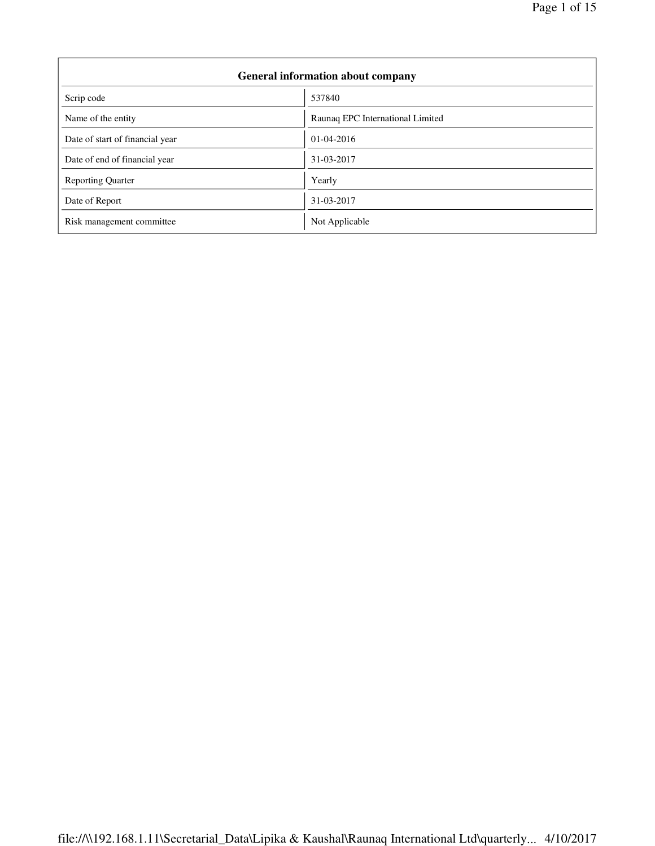| <b>General information about company</b> |                                  |  |  |
|------------------------------------------|----------------------------------|--|--|
| Scrip code                               | 537840                           |  |  |
| Name of the entity                       | Raunaq EPC International Limited |  |  |
| Date of start of financial year          | $01-04-2016$                     |  |  |
| Date of end of financial year            | 31-03-2017                       |  |  |
| <b>Reporting Quarter</b>                 | Yearly                           |  |  |
| Date of Report                           | 31-03-2017                       |  |  |
| Risk management committee                | Not Applicable                   |  |  |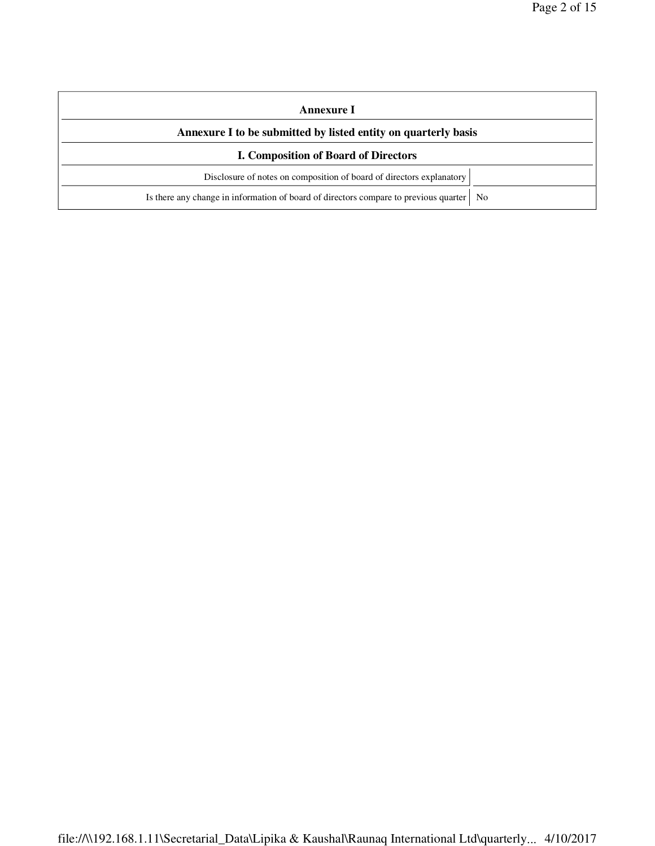| Annexure I                                                                                |  |  |  |
|-------------------------------------------------------------------------------------------|--|--|--|
| Annexure I to be submitted by listed entity on quarterly basis                            |  |  |  |
| <b>I. Composition of Board of Directors</b>                                               |  |  |  |
| Disclosure of notes on composition of board of directors explanatory                      |  |  |  |
| Is there any change in information of board of directors compare to previous quarter   No |  |  |  |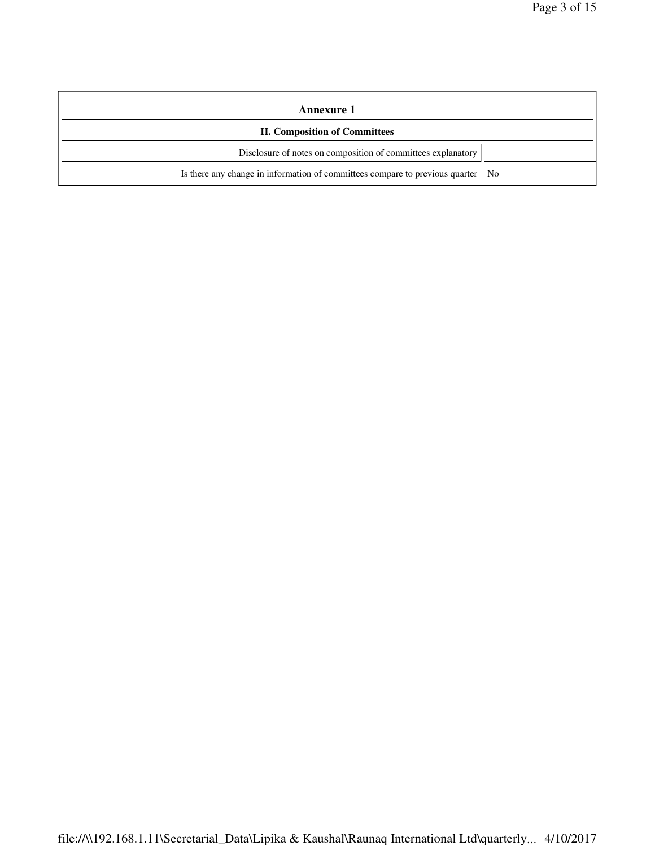| Annexure 1                                                                        |  |
|-----------------------------------------------------------------------------------|--|
| <b>II. Composition of Committees</b>                                              |  |
| Disclosure of notes on composition of committees explanatory                      |  |
| Is there any change in information of committees compare to previous quarter   No |  |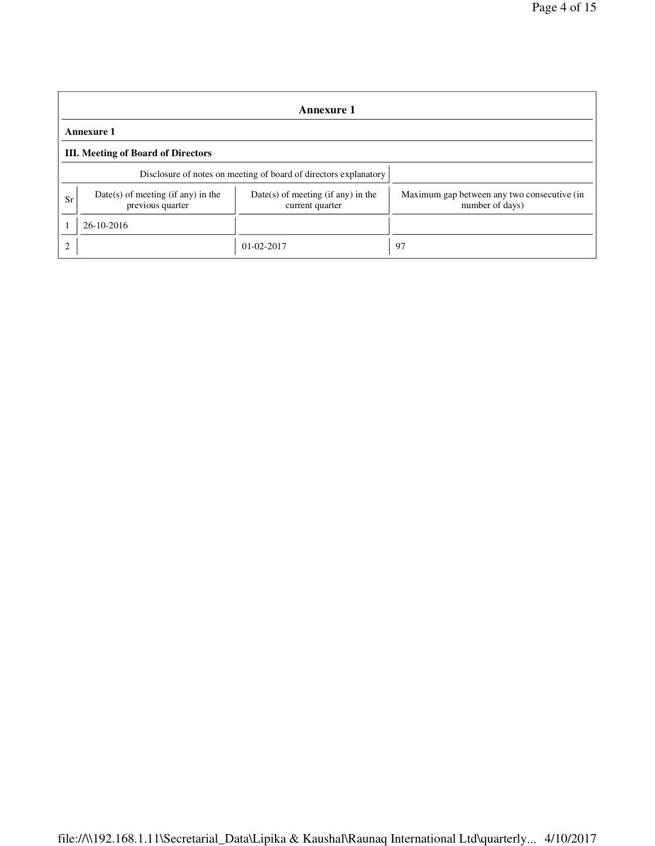|                                                                                                                           | Annexure 1                                                       |                                                                |    |  |  |  |  |
|---------------------------------------------------------------------------------------------------------------------------|------------------------------------------------------------------|----------------------------------------------------------------|----|--|--|--|--|
|                                                                                                                           | <b>Annexure 1</b>                                                |                                                                |    |  |  |  |  |
|                                                                                                                           | <b>III.</b> Meeting of Board of Directors                        |                                                                |    |  |  |  |  |
|                                                                                                                           | Disclosure of notes on meeting of board of directors explanatory |                                                                |    |  |  |  |  |
| $Date(s)$ of meeting (if any) in the<br>$Date(s)$ of meeting (if any) in the<br>Sr<br>previous quarter<br>current quarter |                                                                  | Maximum gap between any two consecutive (in<br>number of days) |    |  |  |  |  |
|                                                                                                                           | 26-10-2016                                                       |                                                                |    |  |  |  |  |
| $\overline{c}$                                                                                                            |                                                                  | $01-02-2017$                                                   | 97 |  |  |  |  |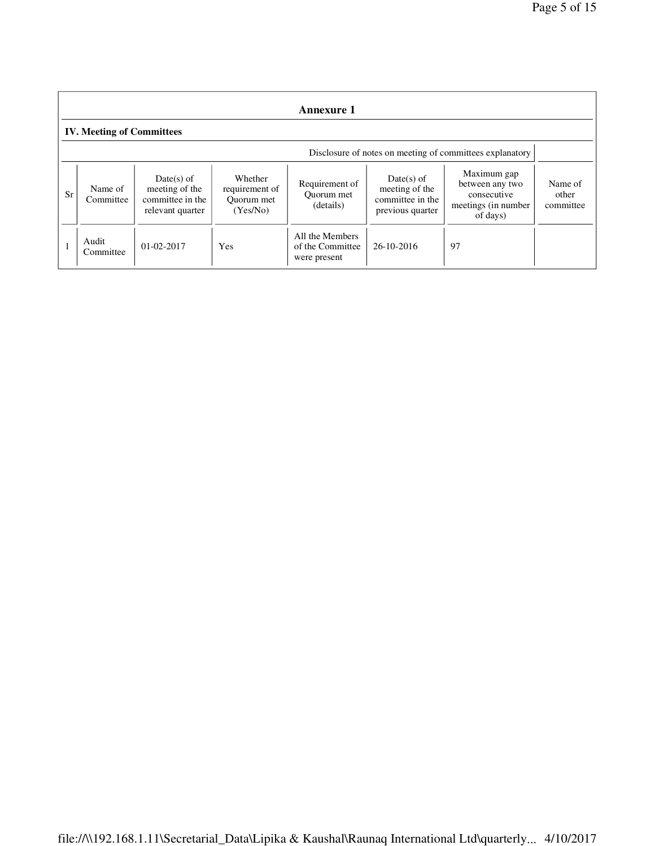|    | <b>Annexure 1</b>                                        |                                                                      |                                                     |                                                     |                                                                        |                                                                                   |                               |
|----|----------------------------------------------------------|----------------------------------------------------------------------|-----------------------------------------------------|-----------------------------------------------------|------------------------------------------------------------------------|-----------------------------------------------------------------------------------|-------------------------------|
|    | <b>IV. Meeting of Committees</b>                         |                                                                      |                                                     |                                                     |                                                                        |                                                                                   |                               |
|    | Disclosure of notes on meeting of committees explanatory |                                                                      |                                                     |                                                     |                                                                        |                                                                                   |                               |
| Sr | Name of<br>Committee                                     | Date(s) of<br>meeting of the<br>committee in the<br>relevant quarter | Whether<br>requirement of<br>Ouorum met<br>(Yes/No) | Requirement of<br>Ouorum met<br>(details)           | $Date(s)$ of<br>meeting of the<br>committee in the<br>previous quarter | Maximum gap<br>between any two<br>consecutive<br>meetings (in number)<br>of days) | Name of<br>other<br>committee |
|    | Audit<br>Committee                                       | $01 - 02 - 2017$                                                     | Yes                                                 | All the Members<br>of the Committee<br>were present | 26-10-2016                                                             | 97                                                                                |                               |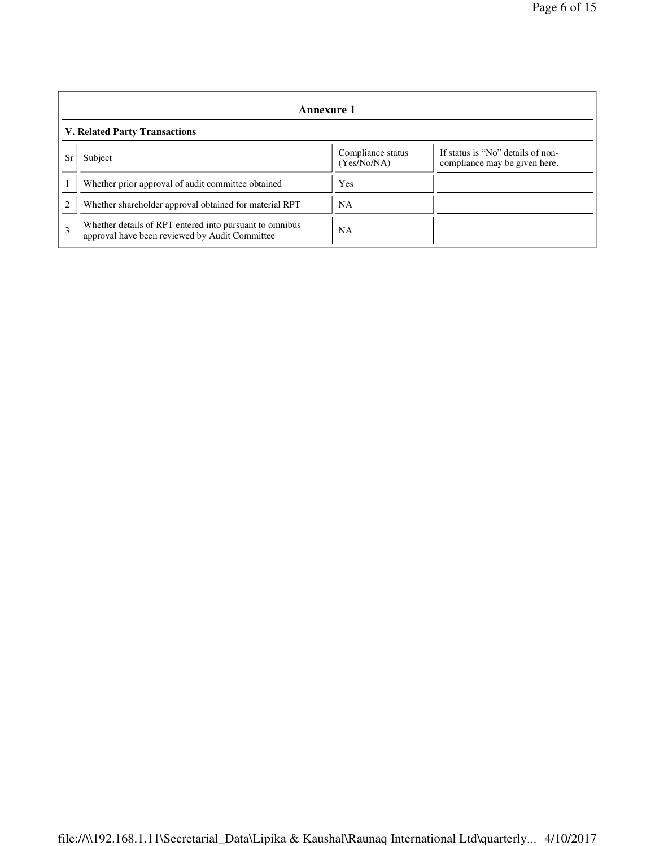|    | Annexure 1                                                                                                |                                  |                                                                    |  |  |  |
|----|-----------------------------------------------------------------------------------------------------------|----------------------------------|--------------------------------------------------------------------|--|--|--|
|    | <b>V. Related Party Transactions</b>                                                                      |                                  |                                                                    |  |  |  |
| Sr | Subject                                                                                                   | Compliance status<br>(Yes/No/NA) | If status is "No" details of non-<br>compliance may be given here. |  |  |  |
|    | Whether prior approval of audit committee obtained                                                        | Yes                              |                                                                    |  |  |  |
| 2  | Whether shareholder approval obtained for material RPT                                                    | NA                               |                                                                    |  |  |  |
| 3  | Whether details of RPT entered into pursuant to omnibus<br>approval have been reviewed by Audit Committee | <b>NA</b>                        |                                                                    |  |  |  |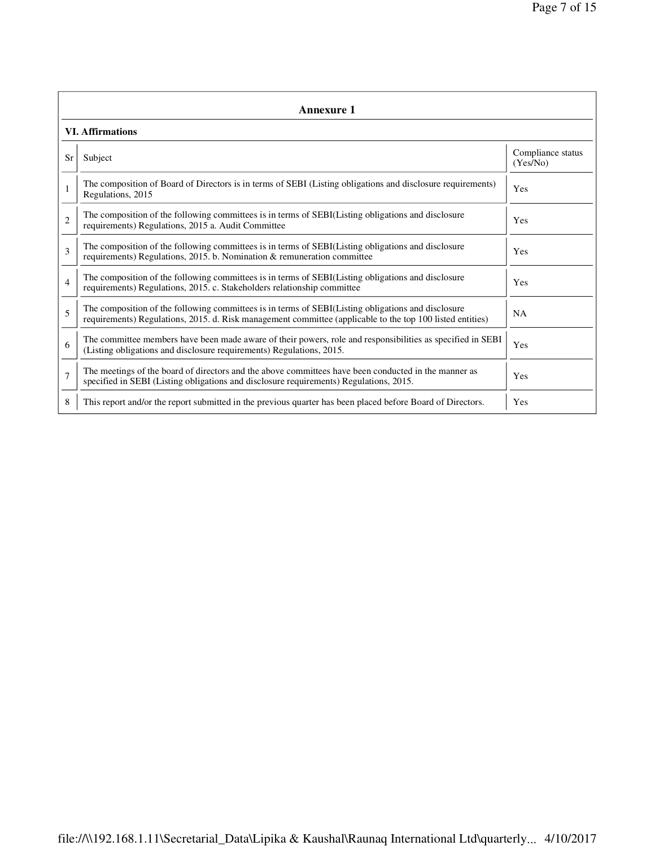|                | <b>Annexure 1</b>                                                                                                                                                                                               |                               |  |  |  |  |
|----------------|-----------------------------------------------------------------------------------------------------------------------------------------------------------------------------------------------------------------|-------------------------------|--|--|--|--|
|                | <b>VI. Affirmations</b>                                                                                                                                                                                         |                               |  |  |  |  |
| Sr             | Subject                                                                                                                                                                                                         | Compliance status<br>(Yes/No) |  |  |  |  |
| $\mathbf{1}$   | The composition of Board of Directors is in terms of SEBI (Listing obligations and disclosure requirements)<br>Regulations, 2015                                                                                | Yes                           |  |  |  |  |
| $\overline{c}$ | The composition of the following committees is in terms of SEBI(Listing obligations and disclosure<br>requirements) Regulations, 2015 a. Audit Committee                                                        | Yes                           |  |  |  |  |
| 3              | The composition of the following committees is in terms of SEBI(Listing obligations and disclosure<br>requirements) Regulations, 2015. b. Nomination & remuneration committee                                   | Yes                           |  |  |  |  |
| 4              | The composition of the following committees is in terms of SEBI(Listing obligations and disclosure<br>requirements) Regulations, 2015. c. Stakeholders relationship committee                                   | Yes                           |  |  |  |  |
| 5              | The composition of the following committees is in terms of SEBI(Listing obligations and disclosure<br>requirements) Regulations, 2015. d. Risk management committee (applicable to the top 100 listed entities) | <b>NA</b>                     |  |  |  |  |
| 6              | The committee members have been made aware of their powers, role and responsibilities as specified in SEBI<br>(Listing obligations and disclosure requirements) Regulations, 2015.                              | Yes                           |  |  |  |  |
| $\overline{7}$ | The meetings of the board of directors and the above committees have been conducted in the manner as<br>specified in SEBI (Listing obligations and disclosure requirements) Regulations, 2015.                  | Yes                           |  |  |  |  |
| 8              | This report and/or the report submitted in the previous quarter has been placed before Board of Directors.                                                                                                      | Yes                           |  |  |  |  |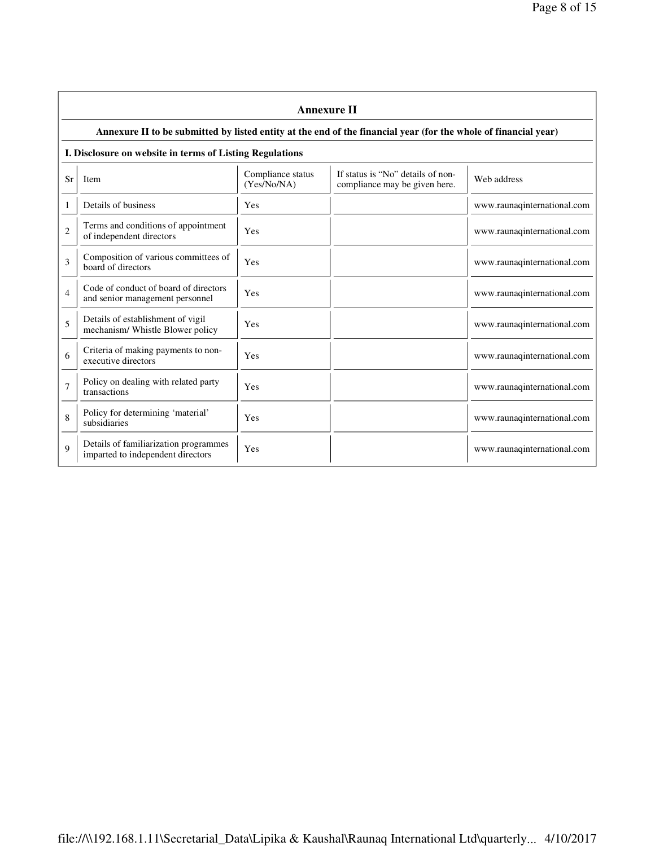$\overline{\phantom{a}}$ 

|                | <b>Annexure II</b>                                                                                              |                                  |                                                                    |                             |  |  |  |
|----------------|-----------------------------------------------------------------------------------------------------------------|----------------------------------|--------------------------------------------------------------------|-----------------------------|--|--|--|
|                | Annexure II to be submitted by listed entity at the end of the financial year (for the whole of financial year) |                                  |                                                                    |                             |  |  |  |
|                | I. Disclosure on website in terms of Listing Regulations                                                        |                                  |                                                                    |                             |  |  |  |
| Sr             | <b>Item</b>                                                                                                     | Compliance status<br>(Yes/No/NA) | If status is "No" details of non-<br>compliance may be given here. | Web address                 |  |  |  |
| 1              | Details of business                                                                                             | Yes                              |                                                                    | www.raunaqinternational.com |  |  |  |
| $\overline{2}$ | Terms and conditions of appointment<br>of independent directors                                                 | Yes                              |                                                                    | www.raunaqinternational.com |  |  |  |
| 3              | Composition of various committees of<br>board of directors                                                      | Yes                              |                                                                    | www.raunaqinternational.com |  |  |  |
| $\overline{4}$ | Code of conduct of board of directors<br>and senior management personnel                                        | Yes                              |                                                                    | www.raunaqinternational.com |  |  |  |
| 5              | Details of establishment of vigil<br>mechanism/Whistle Blower policy                                            | Yes                              |                                                                    | www.raunaqinternational.com |  |  |  |
| 6              | Criteria of making payments to non-<br>executive directors                                                      | Yes                              |                                                                    | www.raunaqinternational.com |  |  |  |
| 7              | Policy on dealing with related party<br>transactions                                                            | Yes                              |                                                                    | www.raunaqinternational.com |  |  |  |
| 8              | Policy for determining 'material'<br>subsidiaries                                                               | Yes                              |                                                                    | www.raunaqinternational.com |  |  |  |
| $\mathbf Q$    | Details of familiarization programmes<br>imparted to independent directors                                      | Yes                              |                                                                    | www.raunaqinternational.com |  |  |  |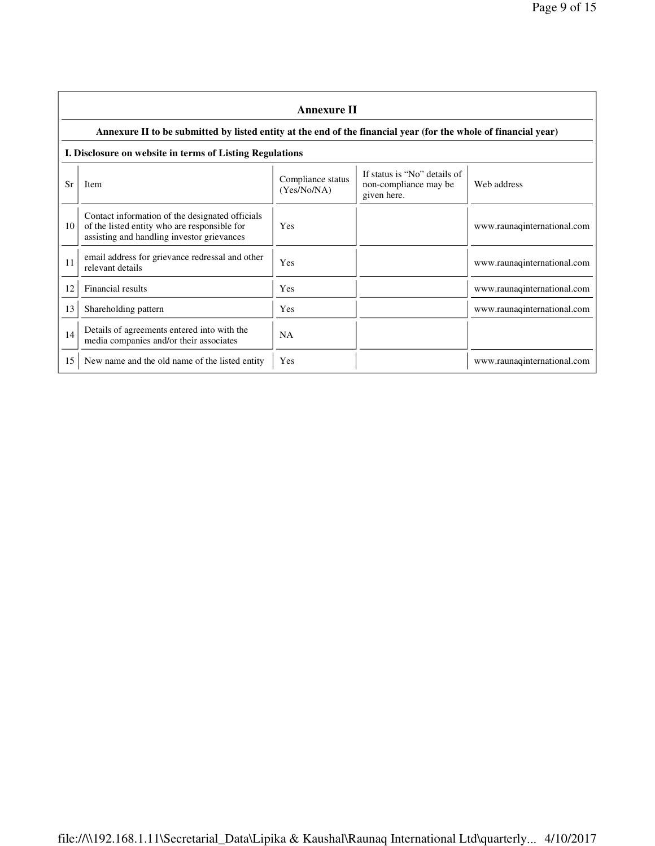|    | <b>Annexure II</b>                                                                                                                            |                                  |                                                                      |                             |  |
|----|-----------------------------------------------------------------------------------------------------------------------------------------------|----------------------------------|----------------------------------------------------------------------|-----------------------------|--|
|    | Annexure II to be submitted by listed entity at the end of the financial year (for the whole of financial year)                               |                                  |                                                                      |                             |  |
|    | I. Disclosure on website in terms of Listing Regulations                                                                                      |                                  |                                                                      |                             |  |
| Sr | <b>Item</b>                                                                                                                                   | Compliance status<br>(Yes/No/NA) | If status is "No" details of<br>non-compliance may be<br>given here. | Web address                 |  |
| 10 | Contact information of the designated officials<br>of the listed entity who are responsible for<br>assisting and handling investor grievances | Yes                              |                                                                      | www.raunaqinternational.com |  |
| 11 | email address for grievance redressal and other<br>relevant details                                                                           | Yes                              |                                                                      | www.raunaqinternational.com |  |
| 12 | Financial results                                                                                                                             | Yes                              |                                                                      | www.raunaqinternational.com |  |
| 13 | Shareholding pattern                                                                                                                          | Yes                              |                                                                      | www.raunaqinternational.com |  |
| 14 | Details of agreements entered into with the<br>media companies and/or their associates                                                        | <b>NA</b>                        |                                                                      |                             |  |
| 15 | New name and the old name of the listed entity                                                                                                | Yes                              |                                                                      | www.raunaqinternational.com |  |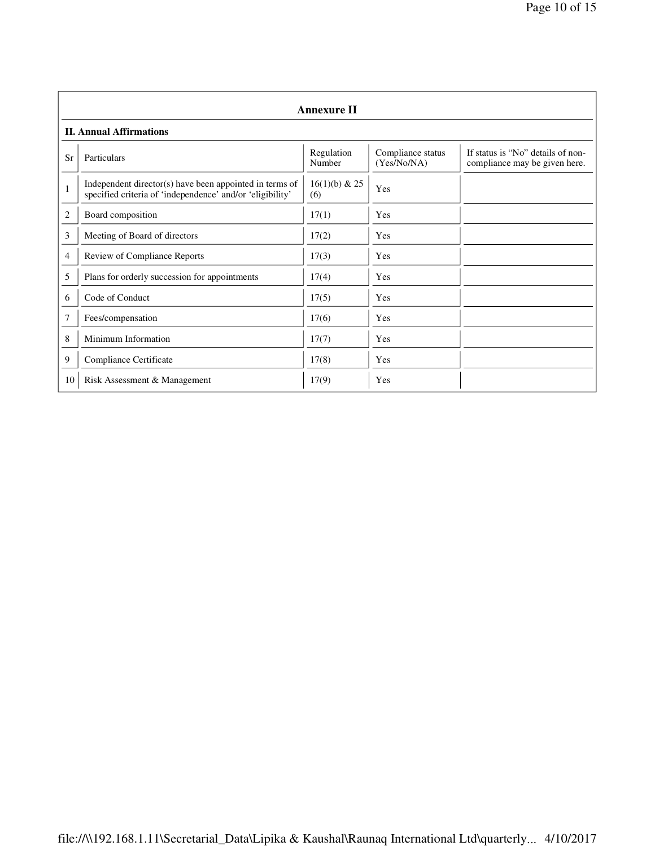|              | <b>Annexure II</b>                                                                                                   |                        |                                  |                                                                    |  |  |
|--------------|----------------------------------------------------------------------------------------------------------------------|------------------------|----------------------------------|--------------------------------------------------------------------|--|--|
|              | <b>II. Annual Affirmations</b>                                                                                       |                        |                                  |                                                                    |  |  |
| Sr           | Particulars                                                                                                          | Regulation<br>Number   | Compliance status<br>(Yes/No/NA) | If status is "No" details of non-<br>compliance may be given here. |  |  |
| $\mathbf{1}$ | Independent director(s) have been appointed in terms of<br>specified criteria of 'independence' and/or 'eligibility' | $16(1)(b)$ & 25<br>(6) | Yes                              |                                                                    |  |  |
| 2            | Board composition                                                                                                    | 17(1)                  | Yes                              |                                                                    |  |  |
| 3            | Meeting of Board of directors                                                                                        | 17(2)                  | Yes                              |                                                                    |  |  |
| 4            | Review of Compliance Reports                                                                                         | 17(3)                  | Yes                              |                                                                    |  |  |
| 5            | Plans for orderly succession for appointments                                                                        | 17(4)                  | Yes                              |                                                                    |  |  |
| 6            | Code of Conduct                                                                                                      | 17(5)                  | Yes                              |                                                                    |  |  |
| 7            | Fees/compensation                                                                                                    | 17(6)                  | Yes                              |                                                                    |  |  |
| 8            | Minimum Information                                                                                                  | 17(7)                  | Yes                              |                                                                    |  |  |
| 9            | Compliance Certificate                                                                                               | 17(8)                  | Yes                              |                                                                    |  |  |
| 10           | Risk Assessment & Management                                                                                         | 17(9)                  | Yes                              |                                                                    |  |  |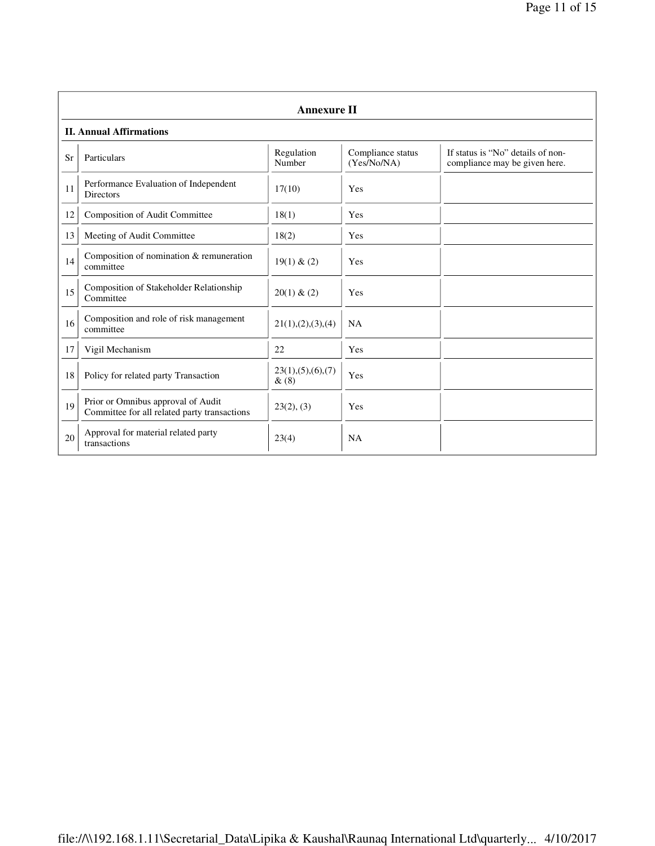|    | <b>Annexure II</b>                                                                 |                              |                                  |                                                                    |  |  |
|----|------------------------------------------------------------------------------------|------------------------------|----------------------------------|--------------------------------------------------------------------|--|--|
|    | <b>II. Annual Affirmations</b>                                                     |                              |                                  |                                                                    |  |  |
| Sr | Particulars                                                                        | Regulation<br>Number         | Compliance status<br>(Yes/No/NA) | If status is "No" details of non-<br>compliance may be given here. |  |  |
| 11 | Performance Evaluation of Independent<br><b>Directors</b>                          | 17(10)                       | Yes                              |                                                                    |  |  |
| 12 | Composition of Audit Committee                                                     | 18(1)                        | Yes                              |                                                                    |  |  |
| 13 | Meeting of Audit Committee                                                         | 18(2)                        | Yes                              |                                                                    |  |  |
| 14 | Composition of nomination & remuneration<br>committee                              | 19(1) & (2)                  | Yes                              |                                                                    |  |  |
| 15 | Composition of Stakeholder Relationship<br>Committee                               | 20(1) & (2)                  | Yes                              |                                                                    |  |  |
| 16 | Composition and role of risk management<br>committee                               | 21(1), (2), (3), (4)         | <b>NA</b>                        |                                                                    |  |  |
| 17 | Vigil Mechanism                                                                    | 22                           | Yes                              |                                                                    |  |  |
| 18 | Policy for related party Transaction                                               | 23(1), (5), (6), (7)<br>&(8) | Yes                              |                                                                    |  |  |
| 19 | Prior or Omnibus approval of Audit<br>Committee for all related party transactions | 23(2), (3)                   | Yes                              |                                                                    |  |  |
| 20 | Approval for material related party<br>transactions                                | 23(4)                        | NA                               |                                                                    |  |  |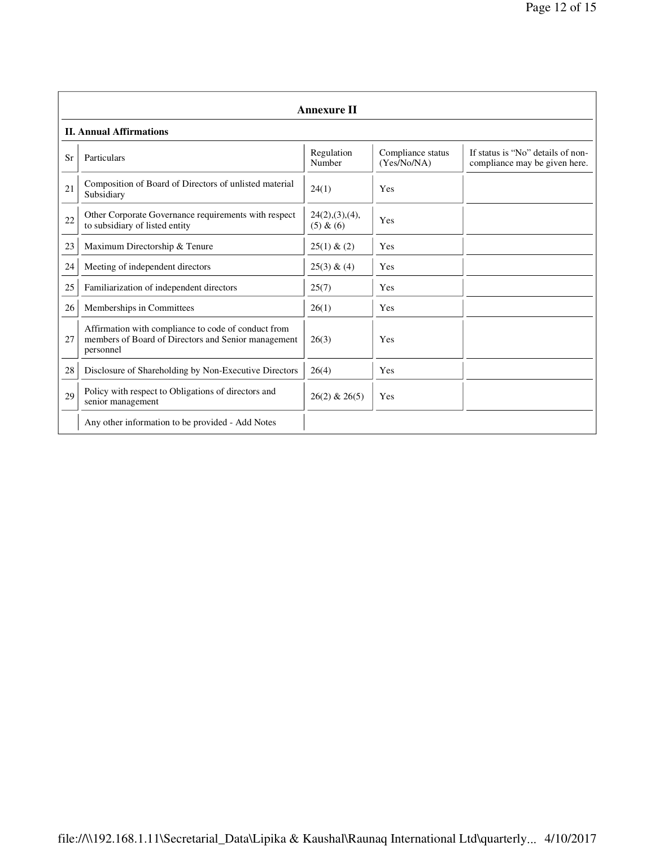|    | <b>Annexure II</b>                                                                                                      |                               |                                  |                                                                    |  |
|----|-------------------------------------------------------------------------------------------------------------------------|-------------------------------|----------------------------------|--------------------------------------------------------------------|--|
|    | <b>II. Annual Affirmations</b>                                                                                          |                               |                                  |                                                                    |  |
| Sr | Particulars                                                                                                             | Regulation<br>Number          | Compliance status<br>(Yes/No/NA) | If status is "No" details of non-<br>compliance may be given here. |  |
| 21 | Composition of Board of Directors of unlisted material<br>Subsidiary                                                    | 24(1)                         | Yes                              |                                                                    |  |
| 22 | Other Corporate Governance requirements with respect<br>to subsidiary of listed entity                                  | 24(2), (3), (4),<br>(5) & (6) | Yes                              |                                                                    |  |
| 23 | Maximum Directorship & Tenure                                                                                           | 25(1) & (2)                   | Yes                              |                                                                    |  |
| 24 | Meeting of independent directors                                                                                        | 25(3) & (4)                   | Yes                              |                                                                    |  |
| 25 | Familiarization of independent directors                                                                                | 25(7)                         | Yes                              |                                                                    |  |
| 26 | Memberships in Committees                                                                                               | 26(1)                         | Yes                              |                                                                    |  |
| 27 | Affirmation with compliance to code of conduct from<br>members of Board of Directors and Senior management<br>personnel | 26(3)                         | Yes                              |                                                                    |  |
| 28 | Disclosure of Shareholding by Non-Executive Directors                                                                   | 26(4)                         | Yes                              |                                                                    |  |
| 29 | Policy with respect to Obligations of directors and<br>senior management                                                | $26(2)$ & $26(5)$             | Yes                              |                                                                    |  |
|    | Any other information to be provided - Add Notes                                                                        |                               |                                  |                                                                    |  |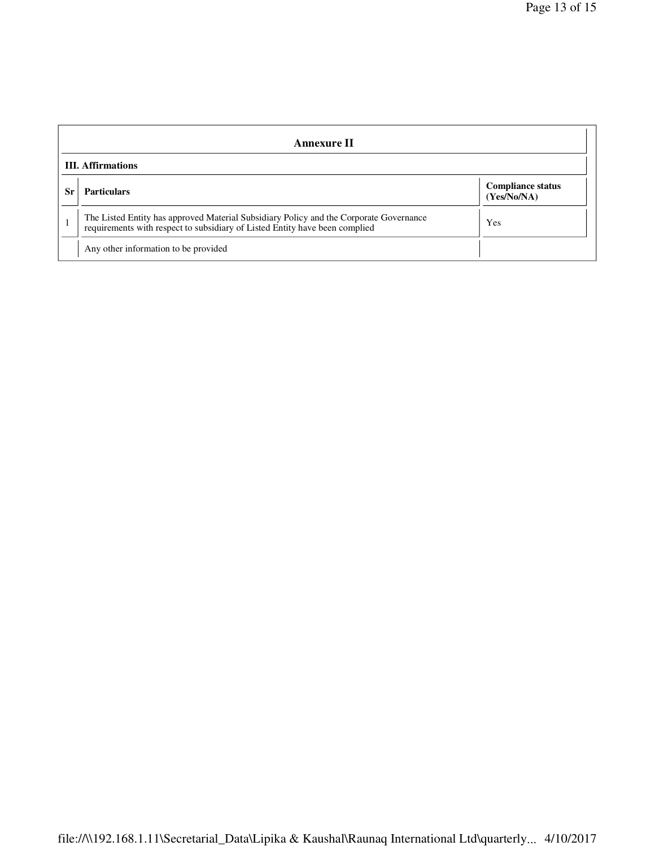| <b>Annexure II</b>       |                                                                                                                                                                       |                                         |  |
|--------------------------|-----------------------------------------------------------------------------------------------------------------------------------------------------------------------|-----------------------------------------|--|
| <b>III.</b> Affirmations |                                                                                                                                                                       |                                         |  |
| -Sr                      | <b>Particulars</b>                                                                                                                                                    | <b>Compliance status</b><br>(Yes/No/NA) |  |
|                          | The Listed Entity has approved Material Subsidiary Policy and the Corporate Governance<br>requirements with respect to subsidiary of Listed Entity have been complied | Yes                                     |  |
|                          | Any other information to be provided                                                                                                                                  |                                         |  |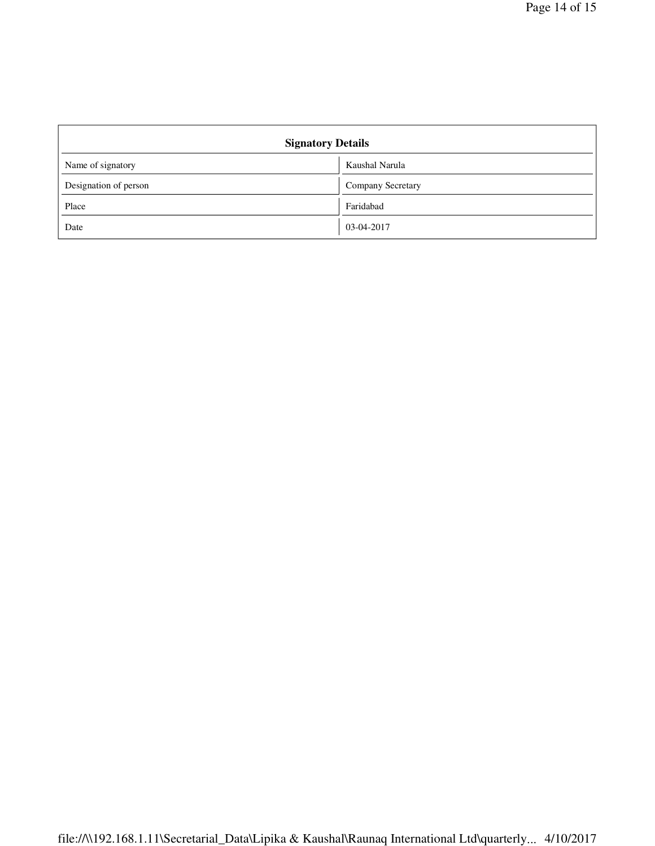| <b>Signatory Details</b> |                   |  |
|--------------------------|-------------------|--|
| Name of signatory        | Kaushal Narula    |  |
| Designation of person    | Company Secretary |  |
| Place                    | Faridabad         |  |
| Date                     | 03-04-2017        |  |